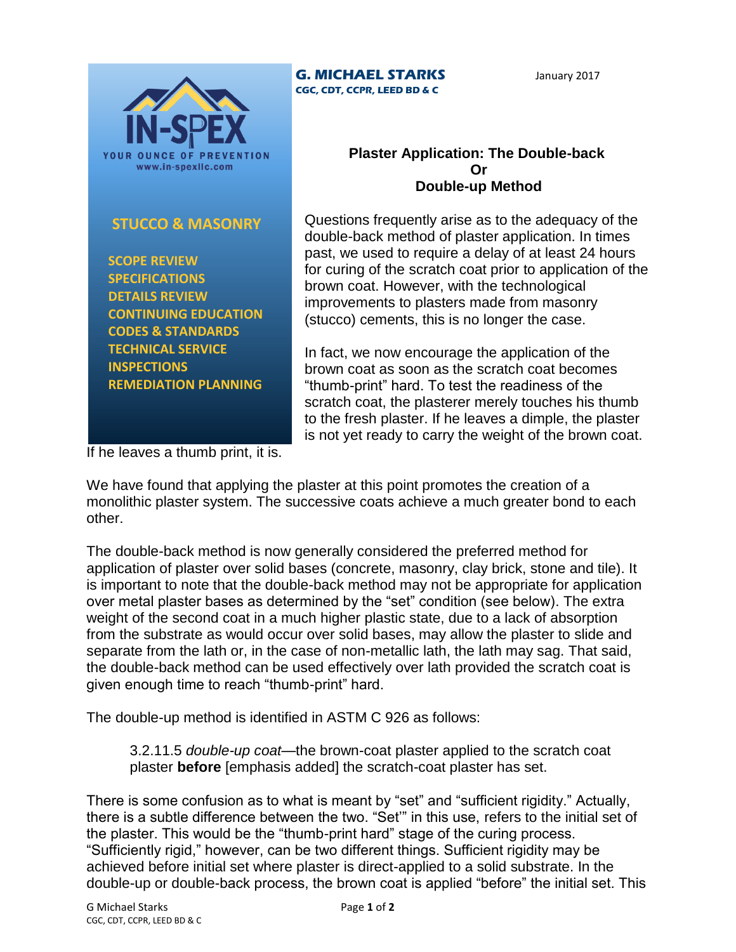

## **STUCCO & MASONRY**

 **SCOPE REVIEW SPECIFICATIONS DETAILS REVIEW CONTINUING EDUCATION CODES & STANDARDS TECHNICAL SERVICE INSPECTIONS REMEDIATION PLANNING**

## **G. MICHAEL STARKS CGC, CDT, CCPR, LEED BD & C**

January 2017

## **Plaster Application: The Double-back Or Double-up Method**

Questions frequently arise as to the adequacy of the double-back method of plaster application. In times past, we used to require a delay of at least 24 hours for curing of the scratch coat prior to application of the brown coat. However, with the technological improvements to plasters made from masonry (stucco) cements, this is no longer the case.

In fact, we now encourage the application of the brown coat as soon as the scratch coat becomes "thumb-print" hard. To test the readiness of the scratch coat, the plasterer merely touches his thumb to the fresh plaster. If he leaves a dimple, the plaster is not yet ready to carry the weight of the brown coat.

If he leaves a thumb print, it is.

We have found that applying the plaster at this point promotes the creation of a monolithic plaster system. The successive coats achieve a much greater bond to each other.

The double-back method is now generally considered the preferred method for application of plaster over solid bases (concrete, masonry, clay brick, stone and tile). It is important to note that the double-back method may not be appropriate for application over metal plaster bases as determined by the "set" condition (see below). The extra weight of the second coat in a much higher plastic state, due to a lack of absorption from the substrate as would occur over solid bases, may allow the plaster to slide and separate from the lath or, in the case of non-metallic lath, the lath may sag. That said, the double-back method can be used effectively over lath provided the scratch coat is given enough time to reach "thumb-print" hard.

The double-up method is identified in ASTM C 926 as follows:

3.2.11.5 *double-up coat*—the brown-coat plaster applied to the scratch coat plaster **before** [emphasis added] the scratch-coat plaster has set.

There is some confusion as to what is meant by "set" and "sufficient rigidity." Actually, there is a subtle difference between the two. "Set'" in this use, refers to the initial set of the plaster. This would be the "thumb-print hard" stage of the curing process. "Sufficiently rigid," however, can be two different things. Sufficient rigidity may be achieved before initial set where plaster is direct-applied to a solid substrate. In the double-up or double-back process, the brown coat is applied "before" the initial set. This